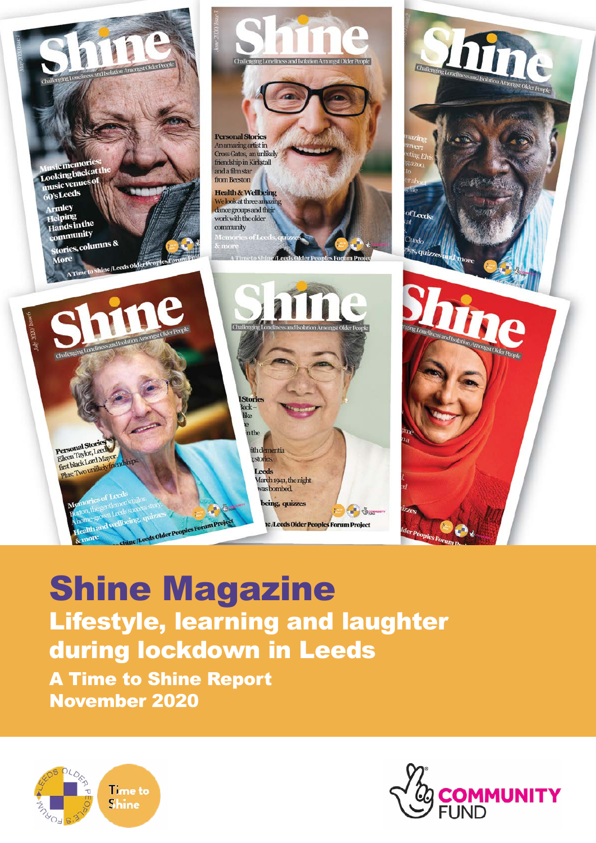

# Shine Magazine Lifestyle, learning and laughter during lockdown in Leeds

A Time to Shine Report November 2020



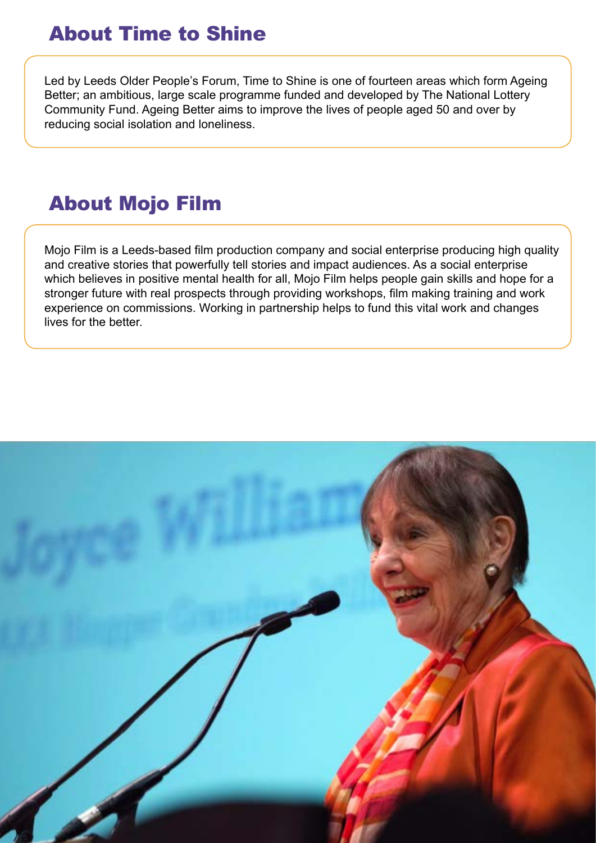### About Time to Shine

Led by Leeds Older People's Forum, Time to Shine is one of fourteen areas which form Ageing Better; an ambitious, large scale programme funded and developed by The National Lottery Community Fund. Ageing Better aims to improve the lives of people aged 50 and over by reducing social isolation and loneliness.

### About Mojo Film

Mojo Film is a Leeds-based film production company and social enterprise producing high quality and creative stories that powerfully tell stories and impact audiences. As a social enterprise which believes in positive mental health for all, Mojo Film helps people gain skills and hope for a stronger future with real prospects through providing workshops, film making training and work experience on commissions. Working in partnership helps to fund this vital work and changes lives for the better.

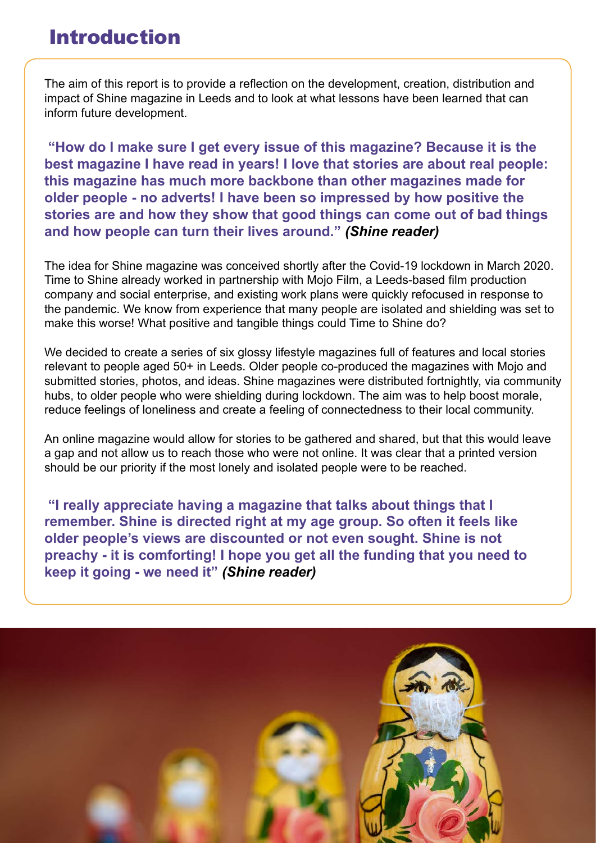### Introduction

The aim of this report is to provide a reflection on the development, creation, distribution and impact of Shine magazine in Leeds and to look at what lessons have been learned that can inform future development.

 **"How do I make sure I get every issue of this magazine? Because it is the best magazine I have read in years! I love that stories are about real people: this magazine has much more backbone than other magazines made for older people - no adverts! I have been so impressed by how positive the stories are and how they show that good things can come out of bad things and how people can turn their lives around."** *(Shine reader)*

The idea for Shine magazine was conceived shortly after the Covid-19 lockdown in March 2020. Time to Shine already worked in partnership with Mojo Film, a Leeds-based film production company and social enterprise, and existing work plans were quickly refocused in response to the pandemic. We know from experience that many people are isolated and shielding was set to make this worse! What positive and tangible things could Time to Shine do?

We decided to create a series of six glossy lifestyle magazines full of features and local stories relevant to people aged 50+ in Leeds. Older people co-produced the magazines with Mojo and submitted stories, photos, and ideas. Shine magazines were distributed fortnightly, via community hubs, to older people who were shielding during lockdown. The aim was to help boost morale, reduce feelings of loneliness and create a feeling of connectedness to their local community.

An online magazine would allow for stories to be gathered and shared, but that this would leave a gap and not allow us to reach those who were not online. It was clear that a printed version should be our priority if the most lonely and isolated people were to be reached.

 **"I really appreciate having a magazine that talks about things that I remember. Shine is directed right at my age group. So often it feels like older people's views are discounted or not even sought. Shine is not preachy - it is comforting! I hope you get all the funding that you need to keep it going - we need it"** *(Shine reader)*

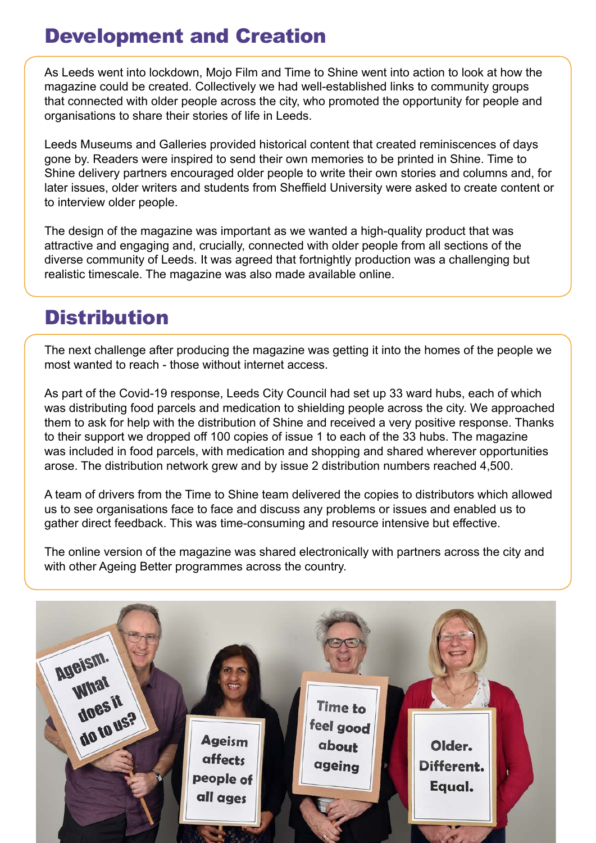## Development and Creation

As Leeds went into lockdown, Mojo Film and Time to Shine went into action to look at how the magazine could be created. Collectively we had well-established links to community groups that connected with older people across the city, who promoted the opportunity for people and organisations to share their stories of life in Leeds.

Leeds Museums and Galleries provided historical content that created reminiscences of days gone by. Readers were inspired to send their own memories to be printed in Shine. Time to Shine delivery partners encouraged older people to write their own stories and columns and, for later issues, older writers and students from Sheffield University were asked to create content or to interview older people.

The design of the magazine was important as we wanted a high-quality product that was attractive and engaging and, crucially, connected with older people from all sections of the diverse community of Leeds. It was agreed that fortnightly production was a challenging but realistic timescale. The magazine was also made available online.

### Distribution

The next challenge after producing the magazine was getting it into the homes of the people we most wanted to reach - those without internet access.

As part of the Covid-19 response, Leeds City Council had set up 33 ward hubs, each of which was distributing food parcels and medication to shielding people across the city. We approached them to ask for help with the distribution of Shine and received a very positive response. Thanks to their support we dropped off 100 copies of issue 1 to each of the 33 hubs. The magazine was included in food parcels, with medication and shopping and shared wherever opportunities arose. The distribution network grew and by issue 2 distribution numbers reached 4,500.

A team of drivers from the Time to Shine team delivered the copies to distributors which allowed us to see organisations face to face and discuss any problems or issues and enabled us to gather direct feedback. This was time-consuming and resource intensive but effective.

The online version of the magazine was shared electronically with partners across the city and with other Ageing Better programmes across the country.

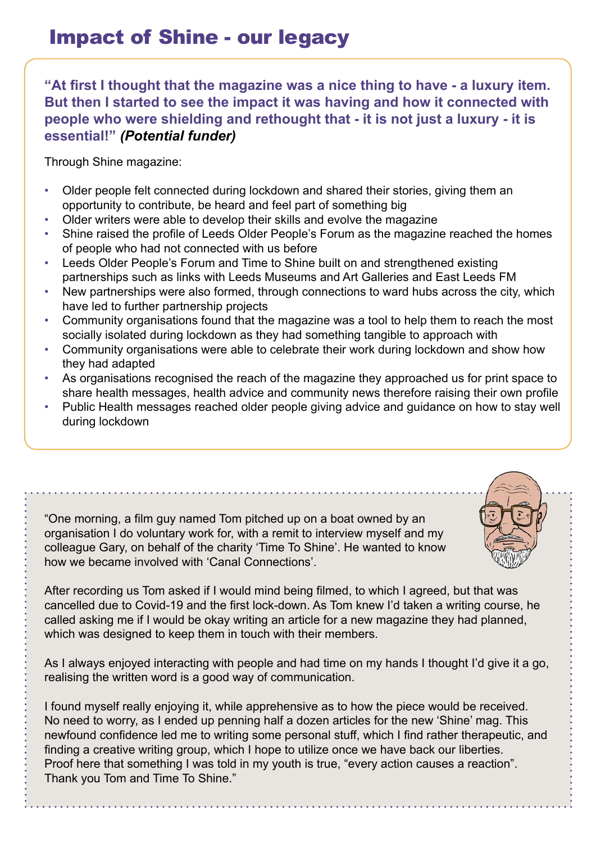**"At first I thought that the magazine was a nice thing to have - a luxury item. But then I started to see the impact it was having and how it connected with people who were shielding and rethought that - it is not just a luxury - it is essential!"** *(Potential funder)*

Through Shine magazine:

- Older people felt connected during lockdown and shared their stories, giving them an opportunity to contribute, be heard and feel part of something big
- Older writers were able to develop their skills and evolve the magazine
- Shine raised the profile of Leeds Older People's Forum as the magazine reached the homes of people who had not connected with us before
- Leeds Older People's Forum and Time to Shine built on and strengthened existing partnerships such as links with Leeds Museums and Art Galleries and East Leeds FM
- New partnerships were also formed, through connections to ward hubs across the city, which have led to further partnership projects
- Community organisations found that the magazine was a tool to help them to reach the most socially isolated during lockdown as they had something tangible to approach with
- Community organisations were able to celebrate their work during lockdown and show how they had adapted
- As organisations recognised the reach of the magazine they approached us for print space to share health messages, health advice and community news therefore raising their own profile
- Public Health messages reached older people giving advice and guidance on how to stay well during lockdown

"One morning, a film guy named Tom pitched up on a boat owned by an organisation I do voluntary work for, with a remit to interview myself and my colleague Gary, on behalf of the charity 'Time To Shine'. He wanted to know how we became involved with 'Canal Connections'.

After recording us Tom asked if I would mind being filmed, to which I agreed, but that was cancelled due to Covid-19 and the first lock-down. As Tom knew I'd taken a writing course, he called asking me if I would be okay writing an article for a new magazine they had planned, which was designed to keep them in touch with their members.

As I always enjoyed interacting with people and had time on my hands I thought I'd give it a go, realising the written word is a good way of communication.

I found myself really enjoying it, while apprehensive as to how the piece would be received. No need to worry, as I ended up penning half a dozen articles for the new 'Shine' mag. This newfound confidence led me to writing some personal stuff, which I find rather therapeutic, and finding a creative writing group, which I hope to utilize once we have back our liberties. Proof here that something I was told in my youth is true, "every action causes a reaction". Thank you Tom and Time To Shine."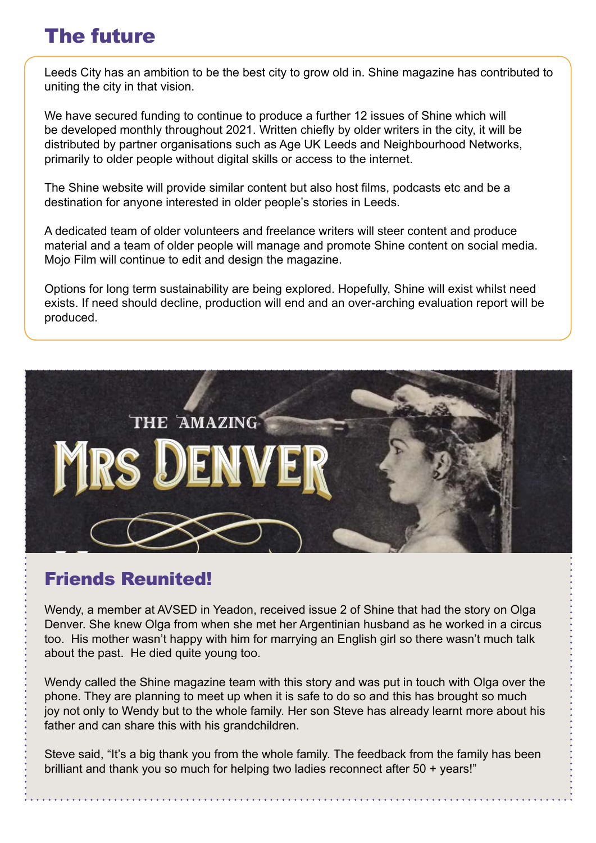### The future

Leeds City has an ambition to be the best city to grow old in. Shine magazine has contributed to uniting the city in that vision.

We have secured funding to continue to produce a further 12 issues of Shine which will be developed monthly throughout 2021. Written chiefly by older writers in the city, it will be distributed by partner organisations such as Age UK Leeds and Neighbourhood Networks, primarily to older people without digital skills or access to the internet.

The Shine website will provide similar content but also host films, podcasts etc and be a destination for anyone interested in older people's stories in Leeds.

A dedicated team of older volunteers and freelance writers will steer content and produce material and a team of older people will manage and promote Shine content on social media. Mojo Film will continue to edit and design the magazine.

Options for long term sustainability are being explored. Hopefully, Shine will exist whilst need exists. If need should decline, production will end and an over-arching evaluation report will be produced.



### Friends Reunited!

Wendy, a member at AVSED in Yeadon, received issue 2 of Shine that had the story on Olga Denver. She knew Olga from when she met her Argentinian husband as he worked in a circus too. His mother wasn't happy with him for marrying an English girl so there wasn't much talk about the past. He died quite young too.

Wendy called the Shine magazine team with this story and was put in touch with Olga over the phone. They are planning to meet up when it is safe to do so and this has brought so much joy not only to Wendy but to the whole family. Her son Steve has already learnt more about his father and can share this with his grandchildren.

Steve said, "It's a big thank you from the whole family. The feedback from the family has been brilliant and thank you so much for helping two ladies reconnect after 50 + years!"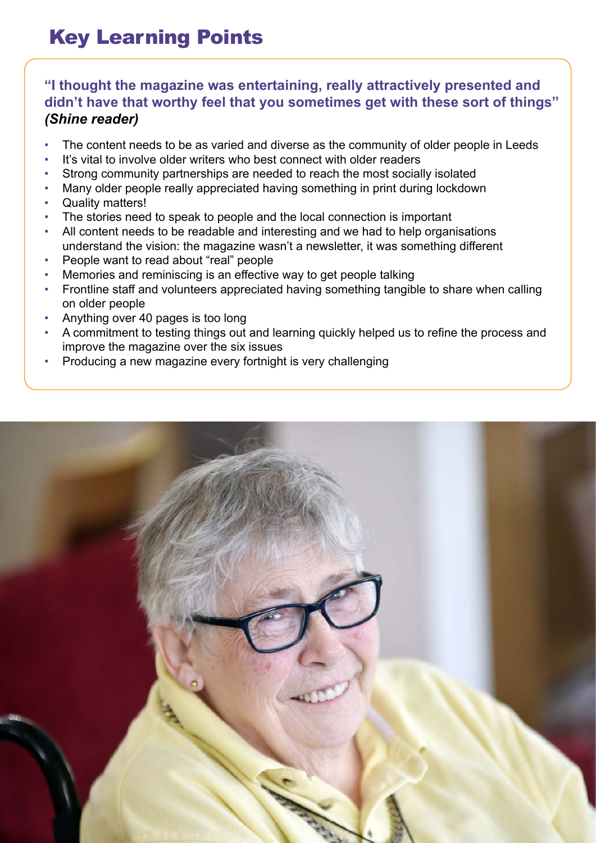# Key Learning Points

### **"I thought the magazine was entertaining, really attractively presented and didn't have that worthy feel that you sometimes get with these sort of things"**  *(Shine reader)*

- The content needs to be as varied and diverse as the community of older people in Leeds
- It's vital to involve older writers who best connect with older readers
- Strong community partnerships are needed to reach the most socially isolated
- Many older people really appreciated having something in print during lockdown
- Quality matters!
- The stories need to speak to people and the local connection is important
- All content needs to be readable and interesting and we had to help organisations understand the vision: the magazine wasn't a newsletter, it was something different
- People want to read about "real" people
- Memories and reminiscing is an effective way to get people talking
- Frontline staff and volunteers appreciated having something tangible to share when calling on older people
- Anything over 40 pages is too long
- A commitment to testing things out and learning quickly helped us to refine the process and improve the magazine over the six issues
- Producing a new magazine every fortnight is very challenging